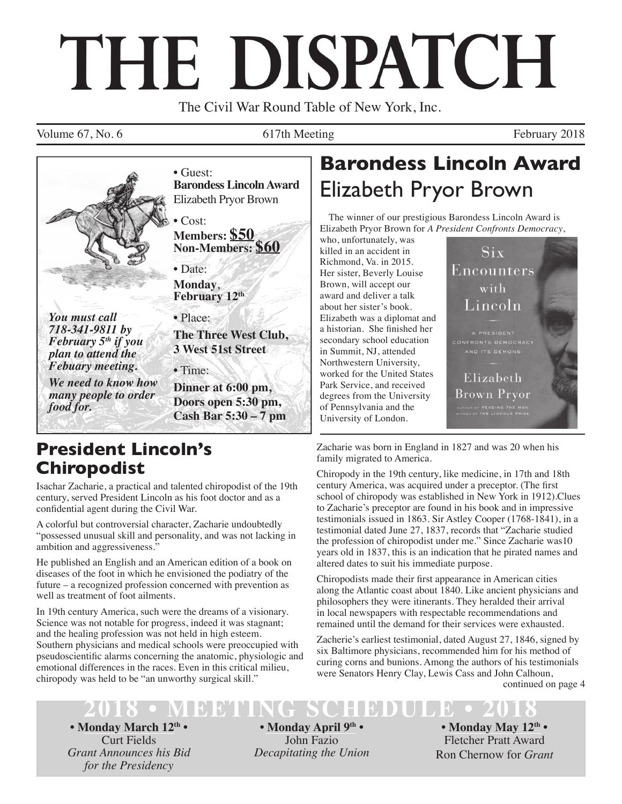# THE DISPATCH

The Civil War Round Table of New York, Inc.

Volume 67, No. 6 617th Meeting February 2018



*plan to attend the Febuary meeting.* 

*We need to know how many people to order food for.*

**Barondess Lincoln Award** Elizabeth Pryor Brown

**Members: \$50 Non-Members: \$60**

**Monday**, **February 12th**

**The Three West Club, 3 West 51st Street** 

• Time:

**Dinner at 6:00 pm, Doors open 5:30 pm, Cash Bar 5:30 – 7 pm**

## **President Lincoln's Chiropodist**

Isachar Zacharie, a practical and talented chiropodist of the 19th century, served President Lincoln as his foot doctor and as a confidential agent during the Civil War.

A colorful but controversial character, Zacharie undoubtedly "possessed unusual skill and personality, and was not lacking in ambition and aggressiveness.<sup>7</sup>

He published an English and an American edition of a book on diseases of the foot in which he envisioned the podiatry of the future – a recognized profession concerned with prevention as well as treatment of foot ailments.

In 19th century America, such were the dreams of a visionary. Science was not notable for progress, indeed it was stagnant; and the healing profession was not held in high esteem. Southern physicians and medical schools were preoccupied with pseudoscientific alarms concerning the anatomic, physiologic and emotional differences in the races. Even in this critical milieu, chiropody was held to be "an unworthy surgical skill."

# **Barondess Lincoln Award** Elizabeth Pryor Brown

The winner of our prestigious Barondess Lincoln Award is Elizabeth Pryor Brown for *A President Confronts Democracy*,

who, unfortunately, was killed in an accident in Richmond, Va. in 2015. Her sister, Beverly Louise Brown, will accept our award and deliver a talk about her sister's book. Elizabeth was a diplomat and a historian. She finished her secondary school education in Summit, NJ, attended Northwestern University, worked for the United States Park Service, and received degrees from the University of Pennsylvania and the University of London.



Zacharie was born in England in 1827 and was 20 when his family migrated to America.

Chiropody in the 19th century, like medicine, in 17th and 18th century America, was acquired under a preceptor. (The first school of chiropody was established in New York in 1912).Clues to Zacharie's preceptor are found in his book and in impressive testimonials issued in 1863. Sir Astley Cooper (1768-1841), in a testimonial dated June 27, 1837, records that "Zacharie studied the profession of chiropodist under me." Since Zacharie was10 years old in 1837, this is an indication that he pirated names and altered dates to suit his immediate purpose.

Chiropodists made their first appearance in American cities along the Atlantic coast about 1840. Like ancient physicians and philosophers they were itinerants. They heralded their arrival in local newspapers with respectable recommendations and remained until the demand for their services were exhausted.

continued on page 4 Zacherie's earliest testimonial, dated August 27, 1846, signed by six Baltimore physicians, recommended him for his method of curing corns and bunions. Among the authors of his testimonials were Senators Henry Clay, Lewis Cass and John Calhoun,

# **2018 • MEETING SCHEDULE • 2018**

**• Monday March 12th •** Curt Fields *Grant Announces his Bid for the Presidency*

**• Monday April 9th •** John Fazio *Decapitating the Union*

**• Monday May 12th •** Fletcher Pratt Award Ron Chernow for *Grant*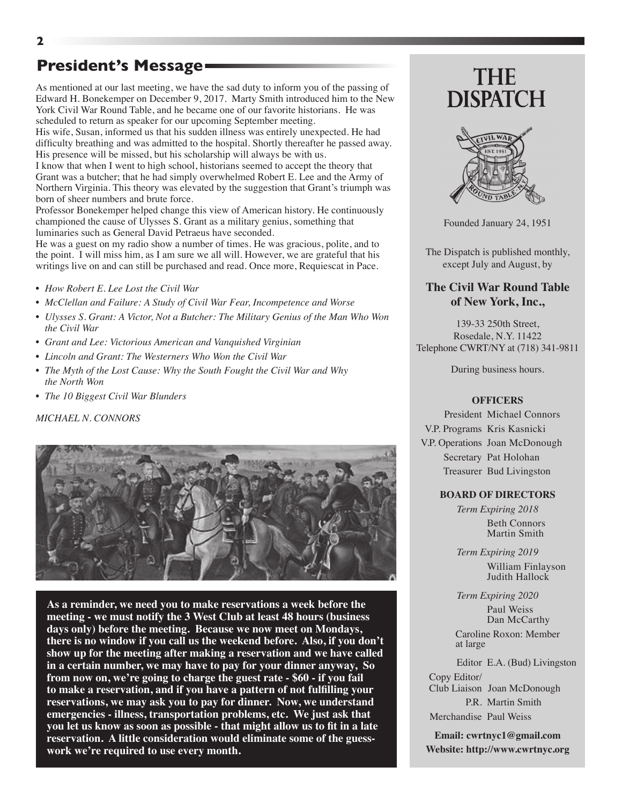### **President's Message**

As mentioned at our last meeting, we have the sad duty to inform you of the passing of Edward H. Bonekemper on December 9, 2017. Marty Smith introduced him to the New York Civil War Round Table, and he became one of our favorite historians. He was scheduled to return as speaker for our upcoming September meeting.

His wife, Susan, informed us that his sudden illness was entirely unexpected. He had difficulty breathing and was admitted to the hospital. Shortly thereafter he passed away. His presence will be missed, but his scholarship will always be with us.

I know that when I went to high school, historians seemed to accept the theory that Grant was a butcher; that he had simply overwhelmed Robert E. Lee and the Army of Northern Virginia. This theory was elevated by the suggestion that Grant's triumph was born of sheer numbers and brute force.

Professor Bonekemper helped change this view of American history. He continuously championed the cause of Ulysses S. Grant as a military genius, something that luminaries such as General David Petraeus have seconded.

He was a guest on my radio show a number of times. He was gracious, polite, and to the point. I will miss him, as I am sure we all will. However, we are grateful that his writings live on and can still be purchased and read. Once more, Requiescat in Pace.

- *• How Robert E. Lee Lost the Civil War*
- *• McClellan and Failure: A Study of Civil War Fear, Incompetence and Worse*
- *• Ulysses S. Grant: A Victor, Not a Butcher: The Military Genius of the Man Who Won the Civil War*
- *• Grant and Lee: Victorious American and Vanquished Virginian*
- *• Lincoln and Grant: The Westerners Who Won the Civil War*
- *• The Myth of the Lost Cause: Why the South Fought the Civil War and Why the North Won*
- *• The 10 Biggest Civil War Blunders*

#### *MICHAEL N. CONNORS*



**As a reminder, we need you to make reservations a week before the meeting - we must notify the 3 West Club at least 48 hours (business days only) before the meeting. Because we now meet on Mondays, there is no window if you call us the weekend before. Also, if you don't show up for the meeting after making a reservation and we have called in a certain number, we may have to pay for your dinner anyway, So from now on, we're going to charge the guest rate - \$60 - if you fail to make a reservation, and if you have a pattern of not fulfilling your reservations, we may ask you to pay for dinner. Now, we understand emergencies - illness, transportation problems, etc. We just ask that you let us know as soon as possible - that might allow us to fit in a late reservation. A little consideration would eliminate some of the guesswork we're required to use every month.**

# **THE DISPATCH**



Founded January 24, 1951

The Dispatch is published monthly, except July and August, by

#### **The Civil War Round Table of New York, Inc.,**

139-33 250th Street, Rosedale, N.Y. 11422 Telephone CWRT/NY at (718) 341-9811

During business hours.

#### **OFFICERS**

President Michael Connors V.P. Programs Kris Kasnicki V.P. Operations Joan McDonough Secretary Pat Holohan Treasurer Bud Livingston

#### **BOARD OF DIRECTORS**

*Term Expiring 2018* Beth Connors Martin Smith

*Term Expiring 2019* William Finlayson Judith Hallock

*Term Expiring 2020*

 Paul Weiss Dan McCarthy

 Caroline Roxon: Member at large

Editor E.A. (Bud) Livingston Copy Editor/ Club Liaison Joan McDonough P.R. Martin Smith

Merchandise Paul Weiss

**Email: cwrtnyc1@gmail.com Website: http://www.cwrtnyc.org**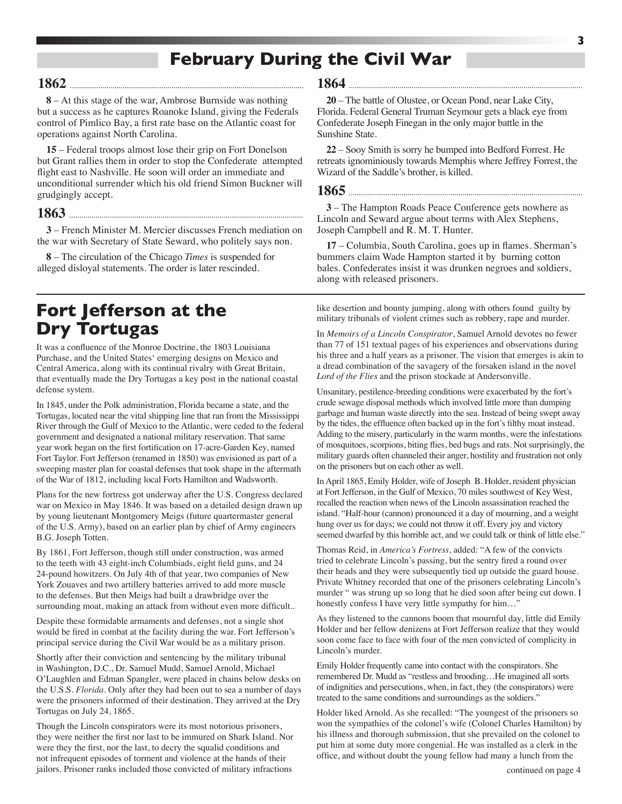## **February During the Civil War**

#### **1862**

**8** – At this stage of the war, Ambrose Burnside was nothing but a success as he captures Roanoke Island, giving the Federals control of Pimlico Bay, a first rate base on the Atlantic coast for operations against North Carolina.

**15** – Federal troops almost lose their grip on Fort Donelson but Grant rallies them in order to stop the Confederate attempted flight east to Nashville. He soon will order an immediate and unconditional surrender which his old friend Simon Buckner will grudgingly accept.

#### **1863**

**3** – French Minister M. Mercier discusses French mediation on the war with Secretary of State Seward, who politely says non.

**8** – The circulation of the Chicago *Times* is suspended for alleged disloyal statements. The order is later rescinded.

## **Fort Jefferson at the Dry Tortugas**

It was a confluence of the Monroe Doctrine, the 1803 Louisiana Purchase, and the United States' emerging designs on Mexico and Central America, along with its continual rivalry with Great Britain, that eventually made the Dry Tortugas a key post in the national coastal defense system.

In 1845, under the Polk administration, Florida became a state, and the Tortugas, located near the vital shipping line that ran from the Mississippi River through the Gulf of Mexico to the Atlantic, were ceded to the federal government and designated a national military reservation. That same year work began on the first fortification on 17-acre-Garden Key, named Fort Taylor. Fort Jefferson (renamed in 1850) was envisioned as part of a sweeping master plan for coastal defenses that took shape in the aftermath of the War of 1812, including local Forts Hamilton and Wadsworth.

Plans for the new fortress got underway after the U.S. Congress declared war on Mexico in May 1846. It was based on a detailed design drawn up by young lieutenant Montgomery Meigs (future quartermaster general of the U.S. Army), based on an earlier plan by chief of Army engineers B.G. Joseph Totten.

By 1861, Fort Jefferson, though still under construction, was armed to the teeth with 43 eight-inch Columbiads, eight field guns, and 24 24-pound howitzers. On July 4th of that year, two companies of New York Zouaves and two artillery batteries arrived to add more muscle to the defenses. But then Meigs had built a drawbridge over the surrounding moat, making an attack from without even more difficult..

Despite these formidable armaments and defenses, not a single shot would be fired in combat at the facility during the war. Fort Jefferson's principal service during the Civil War would be as a military prison.

Shortly after their conviction and sentencing by the military tribunal in Washington, D.C., Dr. Samuel Mudd, Samuel Arnold, Michael O'Laughlen and Edman Spangler, were placed in chains below desks on the U.S.S. *Florida*. Only after they had been out to sea a number of days were the prisoners informed of their destination. They arrived at the Dry Tortugas on July 24, 1865.

Though the Lincoln conspirators were its most notorious prisoners, they were neither the first nor last to be immured on Shark Island. Nor were they the first, nor the last, to decry the squalid conditions and not infrequent episodes of torment and violence at the hands of their jailors. Prisoner ranks included those convicted of military infractions

#### **1864**

**20** – The battle of Olustee, or Ocean Pond, near Lake City, Florida. Federal General Truman Seymour gets a black eye from Confederate Joseph Finegan in the only major battle in the Sunshine State.

**22** – Sooy Smith is sorry he bumped into Bedford Forrest. He retreats ignominiously towards Memphis where Jeffrey Forrest, the Wizard of the Saddle's brother, is killed.

#### **1865**

**3** – The Hampton Roads Peace Conference gets nowhere as Lincoln and Seward argue about terms with Alex Stephens, Joseph Campbell and R. M. T. Hunter.

**17** – Columbia, South Carolina, goes up in flames. Sherman's bummers claim Wade Hampton started it by burning cotton bales. Confederates insist it was drunken negroes and soldiers, along with released prisoners.

like desertion and bounty jumping, along with others found guilty by military tribunals of violent crimes such as robbery, rape and murder.

In *Memoirs of a Lincoln Conspirator*, Samuel Arnold devotes no fewer than 77 of 151 textual pages of his experiences and observations during his three and a half years as a prisoner. The vision that emerges is akin to a dread combination of the savagery of the forsaken island in the novel *Lord of the Flies* and the prison stockade at Andersonville.

Unsanitary, pestilence-breeding conditions were exacerbated by the fort's crude sewage disposal methods which involved little more than dumping garbage and human waste directly into the sea. Instead of being swept away by the tides, the effluence often backed up in the fort's filthy moat instead. Adding to the misery, particularly in the warm months, were the infestations of mosquitoes, scorpions, biting flies, bed bugs and rats. Not surprisingly, the military guards often channeled their anger, hostility and frustration not only on the prisoners but on each other as well.

In April 1865, Emily Holder, wife of Joseph B. Holder, resident physician at Fort Jefferson, in the Gulf of Mexico, 70 miles southwest of Key West, recalled the reaction when news of the Lincoln assassination reached the island. "Half-hour (cannon) pronounced it a day of mourning, and a weight hung over us for days; we could not throw it off. Every joy and victory seemed dwarfed by this horrible act, and we could talk or think of little else."

Thomas Reid, in *America's Fortress*, added: "A few of the convicts tried to celebrate Lincoln's passing, but the sentry fired a round over their heads and they were subsequently tied up outside the guard house. Private Whitney recorded that one of the prisoners celebrating Lincoln's murder " was strung up so long that he died soon after being cut down. I honestly confess I have very little sympathy for him..."

As they listened to the cannons boom that mournful day, little did Emily Holder and her fellow denizens at Fort Jefferson realize that they would soon come face to face with four of the men convicted of complicity in Lincoln's murder.

Emily Holder frequently came into contact with the conspirators. She remembered Dr. Mudd as "restless and brooding…He imagined all sorts of indignities and persecutions, when, in fact, they (the conspirators) were treated to the same conditions and surroundings as the soldiers."

Holder liked Arnold. As she recalled: "The youngest of the prisoners so won the sympathies of the colonel's wife (Colonel Charles Hamilton) by his illness and thorough submission, that she prevailed on the colonel to put him at some duty more congenial. He was installed as a clerk in the office, and without doubt the young fellow had many a lunch from the